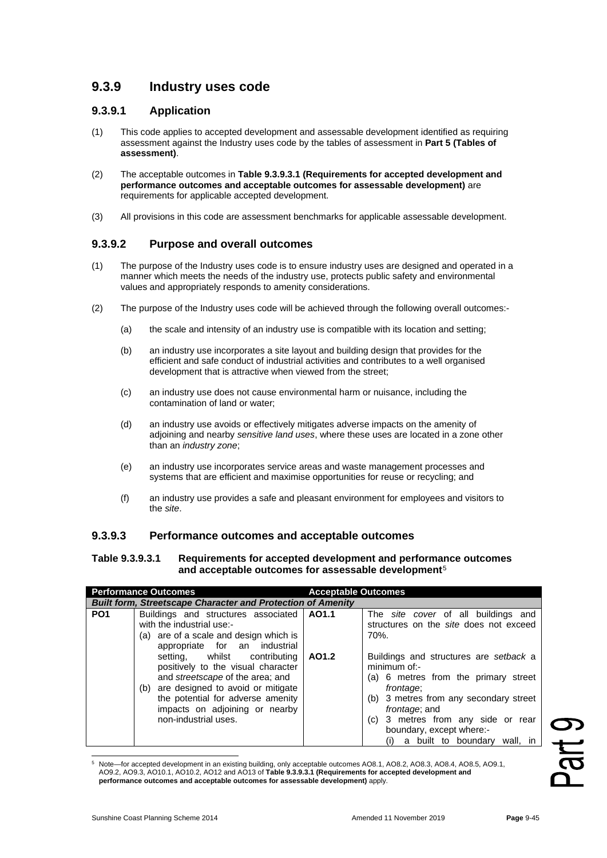# **9.3.9 Industry uses code**

## **9.3.9.1 Application**

- (1) This code applies to accepted development and assessable development identified as requiring assessment against the Industry uses code by the tables of assessment in **Part 5 (Tables of assessment)**.
- (2) The acceptable outcomes in **Table 9.3.9.3.1 (Requirements for accepted development and performance outcomes and acceptable outcomes for assessable development)** are requirements for applicable accepted development.
- (3) All provisions in this code are assessment benchmarks for applicable assessable development.

# **9.3.9.2 Purpose and overall outcomes**

- (1) The purpose of the Industry uses code is to ensure industry uses are designed and operated in a manner which meets the needs of the industry use, protects public safety and environmental values and appropriately responds to amenity considerations.
- (2) The purpose of the Industry uses code will be achieved through the following overall outcomes:-
	- (a) the scale and intensity of an industry use is compatible with its location and setting;
	- (b) an industry use incorporates a site layout and building design that provides for the efficient and safe conduct of industrial activities and contributes to a well organised development that is attractive when viewed from the street;
	- (c) an industry use does not cause environmental harm or nuisance, including the contamination of land or water;
	- (d) an industry use avoids or effectively mitigates adverse impacts on the amenity of adjoining and nearby *sensitive land uses*, where these uses are located in a zone other than an *industry zone*;
	- (e) an industry use incorporates service areas and waste management processes and systems that are efficient and maximise opportunities for reuse or recycling; and
	- (f) an industry use provides a safe and pleasant environment for employees and visitors to the *site*.

## **9.3.9.3 Performance outcomes and acceptable outcomes**

#### **Table 9.3.9.3.1 Requirements for accepted development and performance outcomes and acceptable outcomes for assessable development**[5](#page-0-0)

| <b>Performance Outcomes</b> |                                                                                                                                                                                                                                                                                                                                                                                                      | <b>Acceptable Outcomes</b> |                                                                                                                                                                                                                                                                                                                                                                                  |
|-----------------------------|------------------------------------------------------------------------------------------------------------------------------------------------------------------------------------------------------------------------------------------------------------------------------------------------------------------------------------------------------------------------------------------------------|----------------------------|----------------------------------------------------------------------------------------------------------------------------------------------------------------------------------------------------------------------------------------------------------------------------------------------------------------------------------------------------------------------------------|
|                             | <b>Built form, Streetscape Character and Protection of Amenity</b>                                                                                                                                                                                                                                                                                                                                   |                            |                                                                                                                                                                                                                                                                                                                                                                                  |
| PO <sub>1</sub>             | Buildings and structures associated<br>with the industrial use:-<br>(a) are of a scale and design which is<br>appropriate for an industrial<br>setting, whilst contributing<br>positively to the visual character<br>and <i>streetscape</i> of the area; and<br>(b) are designed to avoid or mitigate<br>the potential for adverse amenity<br>impacts on adjoining or nearby<br>non-industrial uses. | AO1.1<br>AO1.2             | The <i>site cover</i> of all buildings and<br>structures on the site does not exceed<br>70%.<br>Buildings and structures are setback a<br>minimum of:-<br>(a) 6 metres from the primary street<br>frontage;<br>(b) 3 metres from any secondary street<br><i>frontage</i> ; and<br>(c) 3 metres from any side or rear<br>boundary, except where:-<br>a built to boundary wall, in |

<span id="page-0-0"></span><sup>5</sup> Note—for accepted development in an existing building, only acceptable outcomes AO8.1, AO8.2, AO8.3, AO8.4, AO8.5, AO9.1, AO9.2, AO9.3, AO10.1, AO10.2, AO12 and AO13 of **Table 9.3.9.3.1 (Requirements for accepted development and performance outcomes and acceptable outcomes for assessable development)** apply.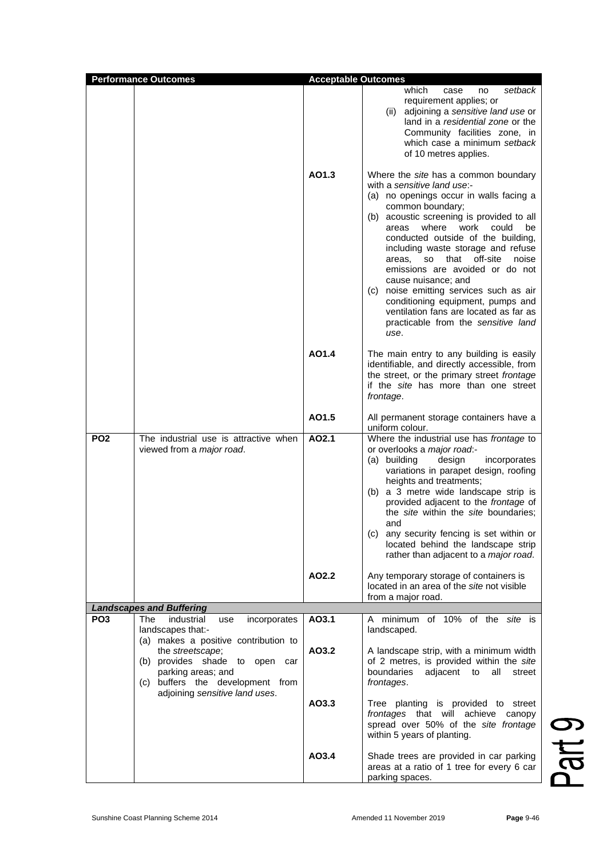|                 | <b>Performance Outcomes</b>                                                                                                                                                                                                                             | <b>Acceptable Outcomes</b> |                                                                                                                                                                                                                                                                                                                                                                                                                                                                                                                                                                          |  |
|-----------------|---------------------------------------------------------------------------------------------------------------------------------------------------------------------------------------------------------------------------------------------------------|----------------------------|--------------------------------------------------------------------------------------------------------------------------------------------------------------------------------------------------------------------------------------------------------------------------------------------------------------------------------------------------------------------------------------------------------------------------------------------------------------------------------------------------------------------------------------------------------------------------|--|
|                 |                                                                                                                                                                                                                                                         |                            | which<br>setback<br>case<br>no<br>requirement applies; or<br>(ii) adjoining a sensitive land use or<br>land in a <i>residential zone</i> or the<br>Community facilities zone, in<br>which case a minimum setback<br>of 10 metres applies.                                                                                                                                                                                                                                                                                                                                |  |
|                 |                                                                                                                                                                                                                                                         | AO1.3                      | Where the site has a common boundary<br>with a sensitive land use:-<br>(a) no openings occur in walls facing a<br>common boundary;<br>(b) acoustic screening is provided to all<br>where<br>work could<br>be<br>areas<br>conducted outside of the building,<br>including waste storage and refuse<br>areas, so that off-site<br>noise<br>emissions are avoided or do not<br>cause nuisance; and<br>(c) noise emitting services such as air<br>conditioning equipment, pumps and<br>ventilation fans are located as far as<br>practicable from the sensitive land<br>use. |  |
|                 |                                                                                                                                                                                                                                                         | AO1.4                      | The main entry to any building is easily<br>identifiable, and directly accessible, from<br>the street, or the primary street frontage<br>if the site has more than one street<br>frontage.                                                                                                                                                                                                                                                                                                                                                                               |  |
|                 |                                                                                                                                                                                                                                                         | AO1.5                      | All permanent storage containers have a<br>uniform colour.                                                                                                                                                                                                                                                                                                                                                                                                                                                                                                               |  |
| PO <sub>2</sub> | The industrial use is attractive when<br>viewed from a major road.                                                                                                                                                                                      | AO2.1                      | Where the industrial use has frontage to<br>or overlooks a major road:-<br>incorporates<br>(a) building<br>design<br>variations in parapet design, roofing<br>heights and treatments;<br>(b) a 3 metre wide landscape strip is<br>provided adjacent to the frontage of<br>the site within the site boundaries;<br>and<br>(c) any security fencing is set within or<br>located behind the landscape strip<br>rather than adjacent to a <i>major road</i> .                                                                                                                |  |
|                 |                                                                                                                                                                                                                                                         | AO2.2                      | Any temporary storage of containers is<br>located in an area of the site not visible<br>from a major road.                                                                                                                                                                                                                                                                                                                                                                                                                                                               |  |
|                 | <b>Landscapes and Buffering</b>                                                                                                                                                                                                                         |                            |                                                                                                                                                                                                                                                                                                                                                                                                                                                                                                                                                                          |  |
| PO <sub>3</sub> | The<br>industrial<br>incorporates<br>use<br>landscapes that:-<br>(a) makes a positive contribution to<br>the streetscape;<br>(b) provides shade to open car<br>parking areas; and<br>(c) buffers the development from<br>adjoining sensitive land uses. | AO3.1                      | A minimum of 10% of the site is<br>landscaped.                                                                                                                                                                                                                                                                                                                                                                                                                                                                                                                           |  |
|                 |                                                                                                                                                                                                                                                         | AO3.2                      | A landscape strip, with a minimum width<br>of 2 metres, is provided within the site<br>boundaries<br>adjacent to<br>all<br>street<br>frontages.                                                                                                                                                                                                                                                                                                                                                                                                                          |  |
|                 |                                                                                                                                                                                                                                                         | AO3.3                      | Tree planting is provided to street<br>frontages that will achieve canopy<br>spread over 50% of the site frontage<br>within 5 years of planting.                                                                                                                                                                                                                                                                                                                                                                                                                         |  |
|                 |                                                                                                                                                                                                                                                         | AO3.4                      | Shade trees are provided in car parking<br>areas at a ratio of 1 tree for every 6 car<br>parking spaces.                                                                                                                                                                                                                                                                                                                                                                                                                                                                 |  |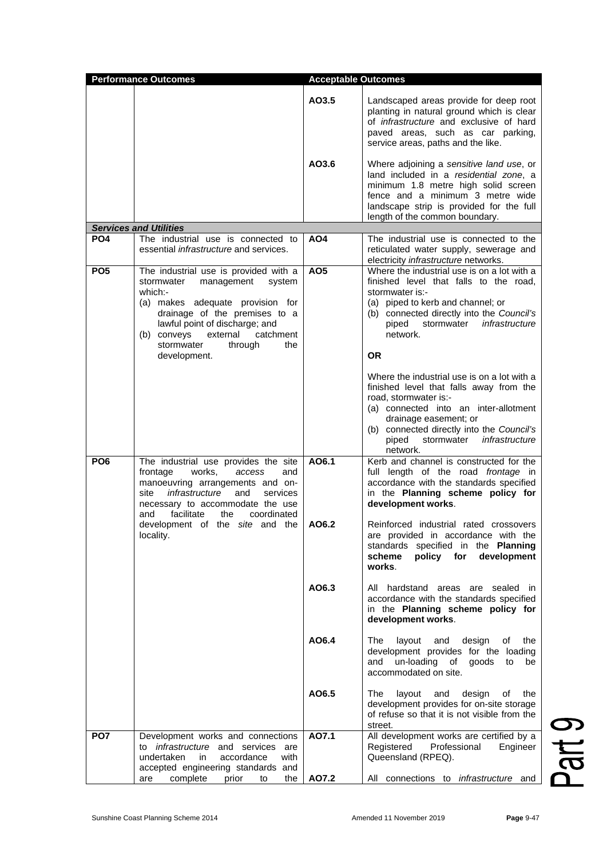| <b>Performance Outcomes</b> |                                                                                                                                                                                                                                                                                       | <b>Acceptable Outcomes</b> |                                                                                                                                                                                                                                                                                     |
|-----------------------------|---------------------------------------------------------------------------------------------------------------------------------------------------------------------------------------------------------------------------------------------------------------------------------------|----------------------------|-------------------------------------------------------------------------------------------------------------------------------------------------------------------------------------------------------------------------------------------------------------------------------------|
|                             |                                                                                                                                                                                                                                                                                       | AO3.5                      | Landscaped areas provide for deep root<br>planting in natural ground which is clear<br>of <i>infrastructure</i> and exclusive of hard<br>paved areas, such as car parking,<br>service areas, paths and the like.                                                                    |
|                             |                                                                                                                                                                                                                                                                                       | AO3.6                      | Where adjoining a sensitive land use, or<br>land included in a residential zone, a<br>minimum 1.8 metre high solid screen<br>fence and a minimum 3 metre wide<br>landscape strip is provided for the full<br>length of the common boundary.                                         |
|                             | <b>Services and Utilities</b>                                                                                                                                                                                                                                                         |                            |                                                                                                                                                                                                                                                                                     |
| PO <sub>4</sub>             | The industrial use is connected to<br>essential <i>infrastructure</i> and services.                                                                                                                                                                                                   | AO <sub>4</sub>            | The industrial use is connected to the<br>reticulated water supply, sewerage and<br>electricity infrastructure networks.                                                                                                                                                            |
| PO <sub>5</sub>             | The industrial use is provided with a<br>stormwater<br>management<br>system<br>which:-<br>(a) makes adequate provision for<br>drainage of the premises to a<br>lawful point of discharge; and<br>(b) conveys<br>external<br>catchment<br>stormwater<br>through<br>the<br>development. | <b>AO5</b>                 | Where the industrial use is on a lot with a<br>finished level that falls to the road.<br>stormwater is:-<br>(a) piped to kerb and channel; or<br>(b) connected directly into the Council's<br>stormwater <i>infrastructure</i><br>piped<br>network.<br><b>OR</b>                    |
|                             |                                                                                                                                                                                                                                                                                       |                            | Where the industrial use is on a lot with a<br>finished level that falls away from the<br>road, stormwater is:-<br>(a) connected into an inter-allotment<br>drainage easement; or<br>(b) connected directly into the Council's<br>infrastructure<br>stormwater<br>piped<br>network. |
| PO <sub>6</sub>             | The industrial use provides the site<br>works,<br>frontage<br>access<br>and<br>manoeuvring arrangements and on-<br>infrastructure<br>and<br>site<br>services<br>necessary to accommodate the use<br>facilitate<br>the<br>coordinated<br>and                                           | AO6.1                      | Kerb and channel is constructed for the<br>full length of the road frontage in<br>accordance with the standards specified<br>in the Planning scheme policy for<br>development works.                                                                                                |
|                             | development of the site and the<br>locality.                                                                                                                                                                                                                                          | AO6.2                      | Reinforced industrial rated crossovers<br>are provided in accordance with the<br>standards specified in the Planning<br>scheme<br>policy for<br>development<br>works.                                                                                                               |
|                             |                                                                                                                                                                                                                                                                                       | AO6.3                      | All hardstand areas are sealed in<br>accordance with the standards specified<br>in the Planning scheme policy for<br>development works.                                                                                                                                             |
|                             |                                                                                                                                                                                                                                                                                       | AO6.4                      | layout<br>The<br>and<br>design<br>οf<br>the<br>development provides for the loading<br>and<br>un-loading of goods to<br>be<br>accommodated on site.                                                                                                                                 |
|                             |                                                                                                                                                                                                                                                                                       | AO6.5                      | The<br>design<br>layout and<br>of the<br>development provides for on-site storage<br>of refuse so that it is not visible from the<br>street.                                                                                                                                        |
| PO <sub>7</sub>             | Development works and connections<br>to <i>infrastructure</i> and services are<br>undertaken<br>accordance<br>with<br>in.<br>accepted engineering standards and                                                                                                                       | A07.1                      | All development works are certified by a<br>Registered<br>Professional<br>Engineer<br>Queensland (RPEQ).                                                                                                                                                                            |
|                             | complete<br>prior<br>the<br>are<br>to                                                                                                                                                                                                                                                 | AO7.2                      | All connections to <i>infrastructure</i> and                                                                                                                                                                                                                                        |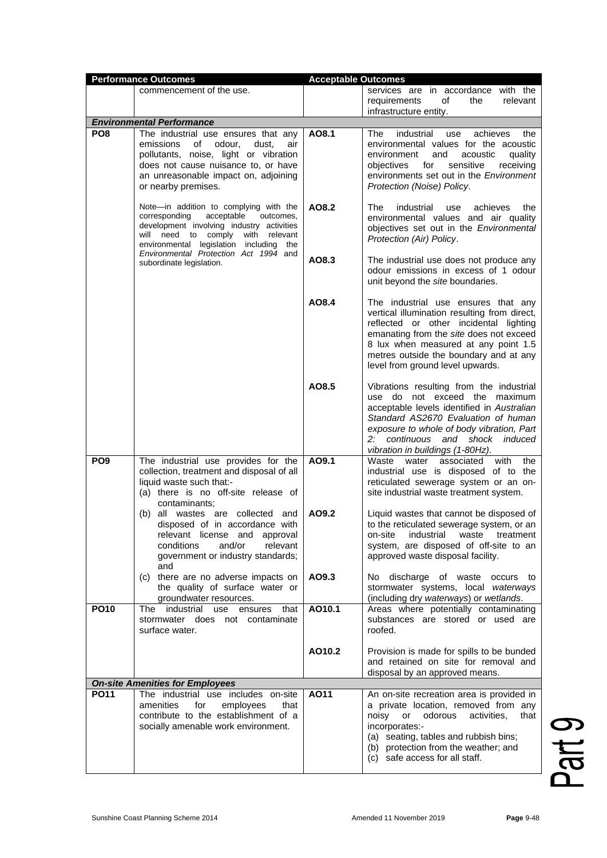|                                        | <b>Performance Outcomes</b>                                                                                                                                                                                                                                                             | <b>Acceptable Outcomes</b> |                                                                                                                                                                                                                                                                                                |  |
|----------------------------------------|-----------------------------------------------------------------------------------------------------------------------------------------------------------------------------------------------------------------------------------------------------------------------------------------|----------------------------|------------------------------------------------------------------------------------------------------------------------------------------------------------------------------------------------------------------------------------------------------------------------------------------------|--|
|                                        | commencement of the use.                                                                                                                                                                                                                                                                |                            | services are in accordance with the<br>requirements<br>of<br>the<br>relevant<br>infrastructure entity.                                                                                                                                                                                         |  |
|                                        | <b>Environmental Performance</b>                                                                                                                                                                                                                                                        |                            |                                                                                                                                                                                                                                                                                                |  |
| PO <sub>8</sub>                        | The industrial use ensures that any<br>emissions<br>of odour,<br>dust,<br>air<br>pollutants, noise, light or vibration<br>does not cause nuisance to, or have<br>an unreasonable impact on, adjoining<br>or nearby premises.                                                            | AO8.1                      | The<br>achieves<br>industrial<br>the<br>use<br>environmental values for the acoustic<br>environment<br>and<br>acoustic<br>quality<br>sensitive<br>receiving<br>objectives<br>for<br>environments set out in the Environment<br>Protection (Noise) Policy.                                      |  |
|                                        | Note-in addition to complying with the<br>acceptable<br>corresponding<br>outcomes,<br>development involving industry activities<br>will need to comply with relevant<br>environmental legislation including<br>the<br>Environmental Protection Act 1994 and<br>subordinate legislation. | AO8.2                      | industrial<br>The<br>achieves<br>the<br>use<br>environmental values and air quality<br>objectives set out in the Environmental<br>Protection (Air) Policy.                                                                                                                                     |  |
|                                        |                                                                                                                                                                                                                                                                                         | AO8.3                      | The industrial use does not produce any<br>odour emissions in excess of 1 odour<br>unit beyond the site boundaries.                                                                                                                                                                            |  |
|                                        |                                                                                                                                                                                                                                                                                         | AO8.4                      | The industrial use ensures that any<br>vertical illumination resulting from direct,<br>reflected or other incidental lighting<br>emanating from the site does not exceed<br>8 lux when measured at any point 1.5<br>metres outside the boundary and at any<br>level from ground level upwards. |  |
|                                        |                                                                                                                                                                                                                                                                                         | AO8.5                      | Vibrations resulting from the industrial<br>use do not exceed the maximum<br>acceptable levels identified in Australian<br>Standard AS2670 Evaluation of human<br>exposure to whole of body vibration, Part<br>2: continuous<br>and shock induced<br>vibration in buildings (1-80Hz).          |  |
| PO <sub>9</sub>                        | The industrial use provides for the<br>collection, treatment and disposal of all<br>liquid waste such that:-<br>(a) there is no off-site release of<br>contaminants:<br>(b) all wastes are collected and<br>disposed of in accordance with                                              | AO9.1<br>AO9.2             | Waste<br>associated<br>with<br>water<br>the<br>industrial use is disposed of to the<br>reticulated sewerage system or an on-<br>site industrial waste treatment system.<br>Liquid wastes that cannot be disposed of<br>to the reticulated sewerage system, or an                               |  |
|                                        | relevant license and approval<br>conditions<br>and/or<br>relevant<br>government or industry standards;<br>and                                                                                                                                                                           |                            | industrial<br>waste<br>on-site<br>treatment<br>system, are disposed of off-site to an<br>approved waste disposal facility.                                                                                                                                                                     |  |
|                                        | (c) there are no adverse impacts on<br>the quality of surface water or<br>groundwater resources.                                                                                                                                                                                        | AO9.3                      | No discharge of waste occurs to<br>stormwater systems, local waterways<br>(including dry waterways) or wetlands.                                                                                                                                                                               |  |
| <b>PO10</b>                            | The industrial<br>use ensures<br>that<br>stormwater does not contaminate<br>surface water.                                                                                                                                                                                              | A010.1                     | Areas where potentially contaminating<br>substances are stored or used are<br>roofed.                                                                                                                                                                                                          |  |
|                                        |                                                                                                                                                                                                                                                                                         | AO10.2                     | Provision is made for spills to be bunded<br>and retained on site for removal and<br>disposal by an approved means.                                                                                                                                                                            |  |
| <b>On-site Amenities for Employees</b> |                                                                                                                                                                                                                                                                                         |                            |                                                                                                                                                                                                                                                                                                |  |
| <b>PO11</b>                            | The industrial use includes on-site<br>amenities<br>for<br>employees<br>that<br>contribute to the establishment of a<br>socially amenable work environment.                                                                                                                             | A011                       | An on-site recreation area is provided in<br>a private location, removed from any<br>odorous<br>activities,<br>noisy<br>or<br>that<br>incorporates:-<br>(a) seating, tables and rubbish bins;<br>(b) protection from the weather; and<br>(c) safe access for all staff.                        |  |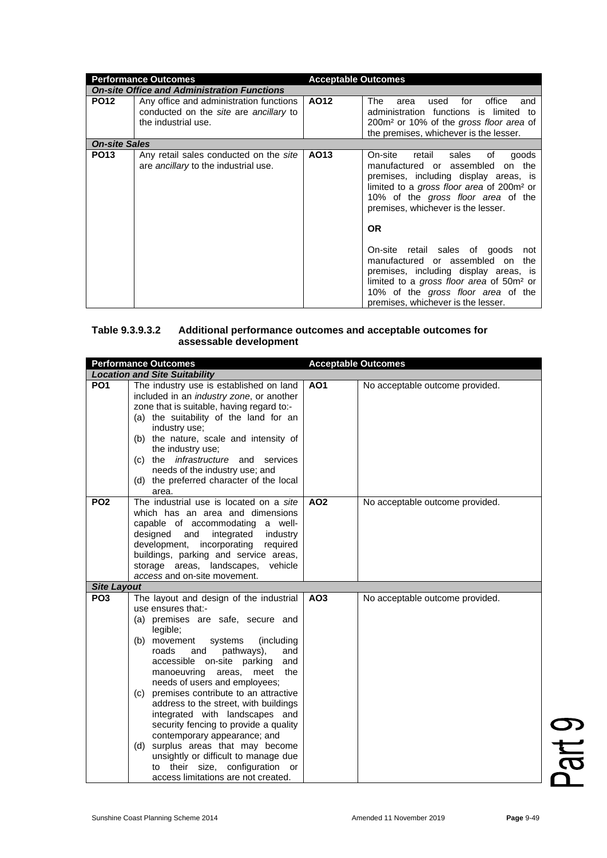| <b>Performance Outcomes</b> |                                                                                                          | <b>Acceptable Outcomes</b> |                                                                                                                                                                                                                                                                                                                                                                                                                                                                                                                                   |
|-----------------------------|----------------------------------------------------------------------------------------------------------|----------------------------|-----------------------------------------------------------------------------------------------------------------------------------------------------------------------------------------------------------------------------------------------------------------------------------------------------------------------------------------------------------------------------------------------------------------------------------------------------------------------------------------------------------------------------------|
|                             | <b>On-site Office and Administration Functions</b>                                                       |                            |                                                                                                                                                                                                                                                                                                                                                                                                                                                                                                                                   |
| <b>PO12</b>                 | Any office and administration functions<br>conducted on the site are ancillary to<br>the industrial use. | AO12                       | office<br>for<br>The<br>used<br>and<br>area<br>administration functions is limited to<br>200m <sup>2</sup> or 10% of the gross floor area of<br>the premises, whichever is the lesser.                                                                                                                                                                                                                                                                                                                                            |
| <b>On-site Sales</b>        |                                                                                                          |                            |                                                                                                                                                                                                                                                                                                                                                                                                                                                                                                                                   |
| <b>PO13</b>                 | Any retail sales conducted on the site<br>are ancillary to the industrial use.                           | AO <sub>13</sub>           | On-site<br>sales<br>retail<br>goods<br>of<br>manufactured or assembled<br>on the<br>premises, including display areas, is<br>limited to a gross floor area of 200m <sup>2</sup> or<br>10% of the gross floor area of the<br>premises, whichever is the lesser.<br>OR.<br>On-site retail sales of goods<br>not<br>manufactured or assembled on<br>the<br>premises, including display areas, is<br>limited to a gross floor area of 50m <sup>2</sup> or<br>10% of the gross floor area of the<br>premises, whichever is the lesser. |

### **Table 9.3.9.3.2 Additional performance outcomes and acceptable outcomes for assessable development**

|                                       | <b>Performance Outcomes</b>                                                                                                                                                                                                                                                                                                                                                                          | <b>Acceptable Outcomes</b> |                                 |
|---------------------------------------|------------------------------------------------------------------------------------------------------------------------------------------------------------------------------------------------------------------------------------------------------------------------------------------------------------------------------------------------------------------------------------------------------|----------------------------|---------------------------------|
|                                       | <b>Location and Site Suitability</b>                                                                                                                                                                                                                                                                                                                                                                 |                            |                                 |
| PO <sub>1</sub>                       | The industry use is established on land<br>included in an industry zone, or another<br>zone that is suitable, having regard to:-<br>(a) the suitability of the land for an<br>industry use;<br>(b) the nature, scale and intensity of<br>the industry use;<br><i>infrastructure</i> and services<br>$(c)$ the<br>needs of the industry use; and<br>(d) the preferred character of the local<br>area. | AO <sub>1</sub>            | No acceptable outcome provided. |
| PO <sub>2</sub><br><b>Site Layout</b> | The industrial use is located on a site<br>which has an area and dimensions<br>capable of accommodating a well-<br>designed<br>integrated<br>and<br>industry<br>development,<br>incorporating<br>required<br>buildings, parking and service areas,<br>storage areas, landscapes,<br>vehicle<br>access and on-site movement.                                                                          | AO <sub>2</sub>            | No acceptable outcome provided. |
| PO <sub>3</sub>                       | The layout and design of the industrial                                                                                                                                                                                                                                                                                                                                                              | AO <sub>3</sub>            | No acceptable outcome provided. |
|                                       | use ensures that:-                                                                                                                                                                                                                                                                                                                                                                                   |                            |                                 |
|                                       | (a) premises are safe, secure and                                                                                                                                                                                                                                                                                                                                                                    |                            |                                 |
|                                       | legible;                                                                                                                                                                                                                                                                                                                                                                                             |                            |                                 |
|                                       | (including<br>(b) movement<br>systems<br>roads<br>and<br>pathways),<br>and<br>accessible on-site parking<br>and<br>manoeuvring<br>the<br>areas,<br>meet<br>needs of users and employees;                                                                                                                                                                                                             |                            |                                 |
|                                       | premises contribute to an attractive<br>(c)<br>address to the street, with buildings<br>integrated with landscapes and<br>security fencing to provide a quality<br>contemporary appearance; and                                                                                                                                                                                                      |                            |                                 |
|                                       | (d) surplus areas that may become<br>unsightly or difficult to manage due<br>to their size, configuration<br>or<br>access limitations are not created.                                                                                                                                                                                                                                               |                            |                                 |